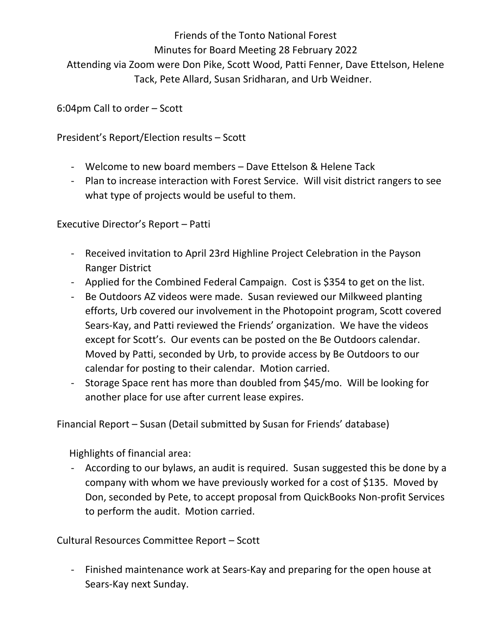Friends of the Tonto National Forest Minutes for Board Meeting 28 February 2022 Attending via Zoom were Don Pike, Scott Wood, Patti Fenner, Dave Ettelson, Helene Tack, Pete Allard, Susan Sridharan, and Urb Weidner.

6:04pm Call to order – Scott

President's Report/Election results – Scott

- Welcome to new board members Dave Ettelson & Helene Tack
- Plan to increase interaction with Forest Service. Will visit district rangers to see what type of projects would be useful to them.

- Executive Director's Report Patti<br>- Received invitation to April 23rd Highline Project Celebration in the Payson Ranger District
	- Applied for the Combined Federal Campaign. Cost is \$354 to get on the list.
	- Be Outdoors AZ videos were made. Susan reviewed our Milkweed planting efforts, Urb covered our involvement in the Photopoint program, Scott covered Sears-Kay, and Patti reviewed the Friends' organization. We have the videos except for Scott's. Our events can be posted on the Be Outdoors calendar. Moved by Patti, seconded by Urb, to provide access by Be Outdoors to our calendar for posting to their calendar. Motion carried.
	- Storage Space rent has more than doubled from \$45/mo. Will be looking for another place for use after current lease expires.

Financial Report – Susan (Detail submitted by Susan for Friends' database)

Highlights of financial area:

- According to our bylaws, an audit is required. Susan suggested this be done by a company with whom we have previously worked for a cost of \$135. Moved by Don, seconded by Pete, to accept proposal from QuickBooks Non-profit Services to perform the audit. Motion carried.

Cultural Resources Committee Report – Scott

- Finished maintenance work at Sears-Kay and preparing for the open house at Sears-Kay next Sunday.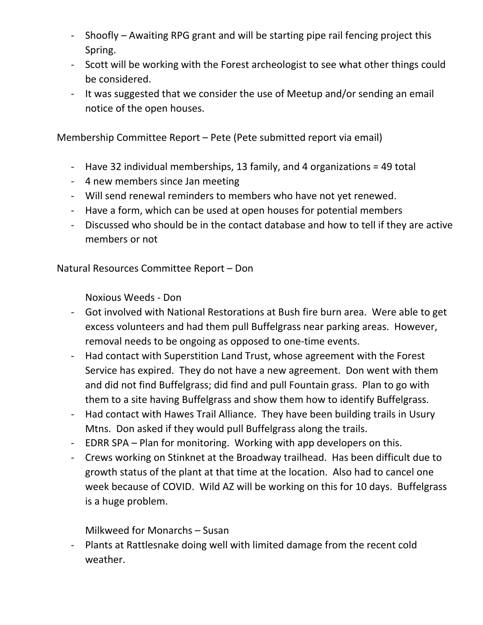- Shoofly Awaiting RPG grant and will be starting pipe rail fencing project this Spring.
- Scott will be working with the Forest archeologist to see what other things could be considered.
- It was suggested that we consider the use of Meetup and/or sending an email notice of the open houses.

Membership Committee Report – Pete (Pete submitted report via email)

- Have 32 individual memberships, 13 family, and 4 organizations = 49 total
- 4 new members since Jan meeting
- Will send renewal reminders to members who have not yet renewed.
- Have a form, which can be used at open houses for potential members
- Discussed who should be in the contact database and how to tell if they are active members or not

Natural Resources Committee Report – Don

Noxious Weeds - Don

- Got involved with National Restorations at Bush fire burn area. Were able to get excess volunteers and had them pull Buffelgrass near parking areas. However, removal needs to be ongoing as opposed to one-time events.
- Had contact with Superstition Land Trust, whose agreement with the Forest Service has expired. They do not have a new agreement. Don went with them and did not find Buffelgrass; did find and pull Fountain grass. Plan to go with them to a site having Buffelgrass and show them how to identify Buffelgrass.
- Had contact with Hawes Trail Alliance. They have been building trails in Usury Mtns. Don asked if they would pull Buffelgrass along the trails.
- EDRR SPA Plan for monitoring. Working with app developers on this.
- Crews working on Stinknet at the Broadway trailhead. Has been difficult due to growth status of the plant at that time at the location. Also had to cancel one week because of COVID. Wild AZ will be working on this for 10 days. Buffelgrass is a huge problem.

Milkweed for Monarchs – Susan

- Plants at Rattlesnake doing well with limited damage from the recent cold weather.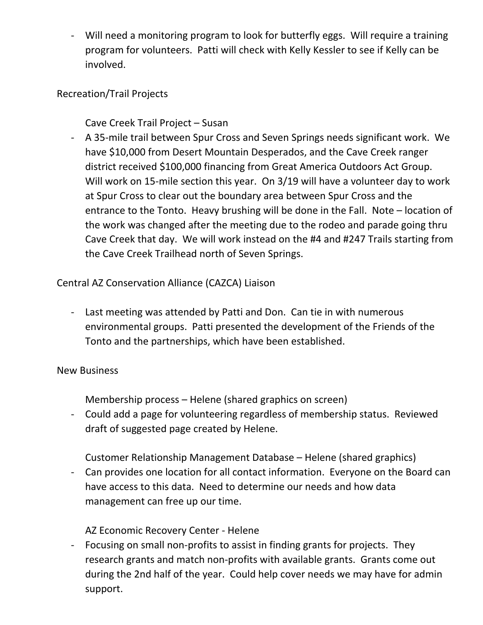- Will need a monitoring program to look for butterfly eggs. Will require a training program for volunteers. Patti will check with Kelly Kessler to see if Kelly can be involved.

## Recreation/Trail Projects

Cave Creek Trail Project – Susan

- A 35-mile trail between Spur Cross and Seven Springs needs significant work. We have \$10,000 from Desert Mountain Desperados, and the Cave Creek ranger district received \$100,000 financing from Great America Outdoors Act Group. Will work on 15-mile section this year. On 3/19 will have a volunteer day to work at Spur Cross to clear out the boundary area between Spur Cross and the entrance to the Tonto. Heavy brushing will be done in the Fall. Note – location of the work was changed after the meeting due to the rodeo and parade going thru Cave Creek that day. We will work instead on the #4 and #247 Trails starting from the Cave Creek Trailhead north of Seven Springs.

Central AZ Conservation Alliance (CAZCA) Liaison<br>- Last meeting was attended by Patti and Don. Can tie in with numerous environmental groups. Patti presented the development of the Friends of the Tonto and the partnerships, which have been established.

## New Business

Membership process – Helene (shared graphics on screen)

- Could add a page for volunteering regardless of membership status. Reviewed draft of suggested page created by Helene.

Customer Relationship Management Database – Helene (shared graphics)

- Can provides one location for all contact information. Everyone on the Board can have access to this data. Need to determine our needs and how data management can free up our time.

AZ Economic Recovery Center - Helene

- Focusing on small non-profits to assist in finding grants for projects. They research grants and match non-profits with available grants. Grants come out during the 2nd half of the year. Could help cover needs we may have for admin support.